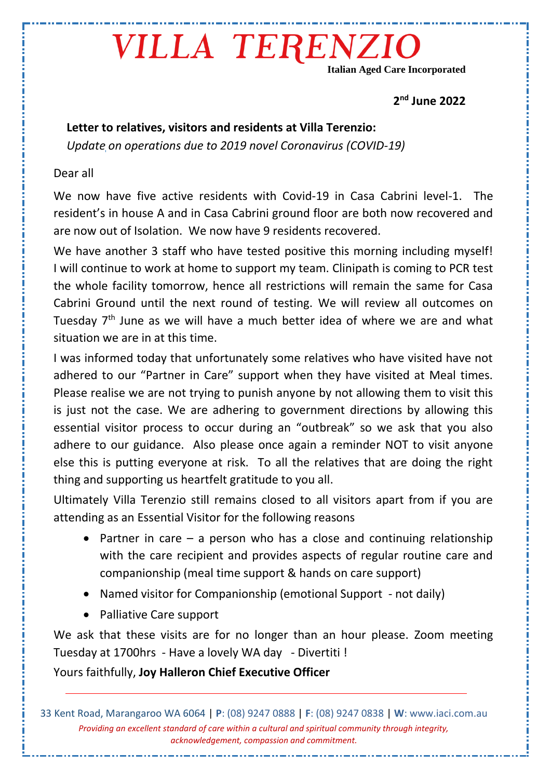## VILLA TERENZIO

**Italian Aged Care Incorporated**

**2 nd June 2022**

### **Letter to relatives, visitors and residents at Villa Terenzio:**

*Update on operations due to 2019 novel Coronavirus (COVID-19)* 

#### Dear all

We now have five active residents with Covid-19 in Casa Cabrini level-1. The resident's in house A and in Casa Cabrini ground floor are both now recovered and are now out of Isolation. We now have 9 residents recovered.

We have another 3 staff who have tested positive this morning including myself! I will continue to work at home to support my team. Clinipath is coming to PCR test the whole facility tomorrow, hence all restrictions will remain the same for Casa Cabrini Ground until the next round of testing. We will review all outcomes on Tuesday 7<sup>th</sup> June as we will have a much better idea of where we are and what situation we are in at this time.

I was informed today that unfortunately some relatives who have visited have not adhered to our "Partner in Care" support when they have visited at Meal times. Please realise we are not trying to punish anyone by not allowing them to visit this is just not the case. We are adhering to government directions by allowing this essential visitor process to occur during an "outbreak" so we ask that you also adhere to our guidance. Also please once again a reminder NOT to visit anyone else this is putting everyone at risk. To all the relatives that are doing the right thing and supporting us heartfelt gratitude to you all.

Ultimately Villa Terenzio still remains closed to all visitors apart from if you are attending as an Essential Visitor for the following reasons

- Partner in care  $-$  a person who has a close and continuing relationship with the care recipient and provides aspects of regular routine care and companionship (meal time support & hands on care support)
- Named visitor for Companionship (emotional Support not daily)
- Palliative Care support

We ask that these visits are for no longer than an hour please. Zoom meeting Tuesday at 1700hrs - Have a lovely WA day - Divertiti !

Yours faithfully, **Joy Halleron Chief Executive Officer**

33 Kent Road, Marangaroo WA 6064 | **P**: (08) 9247 0888 | **F**: (08) 9247 0838 | **W**: www.iaci.com.au *Providing an excellent standard of care within a cultural and spiritual community through integrity, acknowledgement, compassion and commitment.*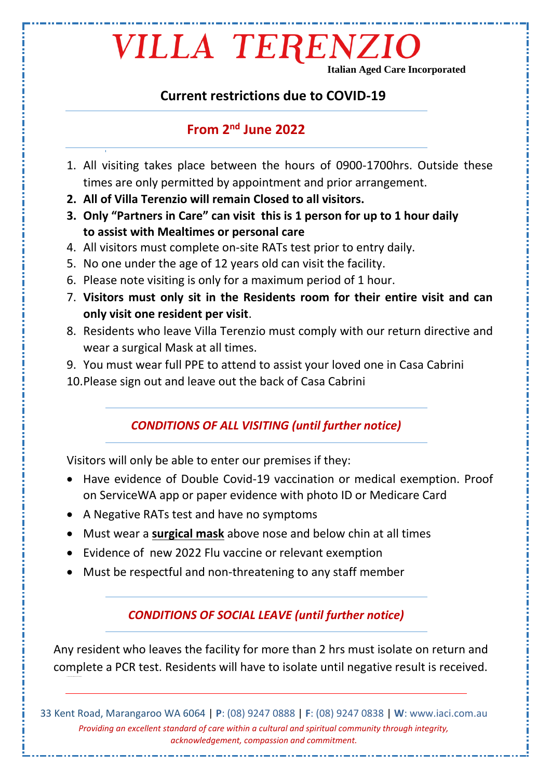## VILLA TERENZIO

**Italian Aged Care Incorporated**

#### **Current restrictions due to COVID-19**

#### **From 2nd June 2022**

- 1. All visiting takes place between the hours of 0900-1700hrs. Outside these times are only permitted by appointment and prior arrangement.
- **2. All of Villa Terenzio will remain Closed to all visitors.**
- **3. Only "Partners in Care" can visit this is 1 person for up to 1 hour daily to assist with Mealtimes or personal care**
- 4. All visitors must complete on-site RATs test prior to entry daily.
- 5. No one under the age of 12 years old can visit the facility.
- 6. Please note visiting is only for a maximum period of 1 hour.
- 7. **Visitors must only sit in the Residents room for their entire visit and can only visit one resident per visit**.
- 8. Residents who leave Villa Terenzio must comply with our return directive and wear a surgical Mask at all times.
- 9. You must wear full PPE to attend to assist your loved one in Casa Cabrini
- 10.Please sign out and leave out the back of Casa Cabrini

#### *CONDITIONS OF ALL VISITING (until further notice)*

Visitors will only be able to enter our premises if they:

- Have evidence of Double Covid-19 vaccination or medical exemption. Proof on ServiceWA app or paper evidence with photo ID or Medicare Card
- A Negative RATs test and have no symptoms
- Must wear a **surgical mask** above nose and below chin at all times
- Evidence of new 2022 Flu vaccine or relevant exemption
- Must be respectful and non-threatening to any staff member

#### *CONDITIONS OF SOCIAL LEAVE (until further notice)*

Any resident who leaves the facility for more than 2 hrs must isolate on return and complete a PCR test. Residents will have to isolate until negative result is received.

33 Kent Road, Marangaroo WA 6064 | **P**: (08) 9247 0888 | **F**: (08) 9247 0838 | **W**: www.iaci.com.au *Providing an excellent standard of care within a cultural and spiritual community through integrity, acknowledgement, compassion and commitment.*